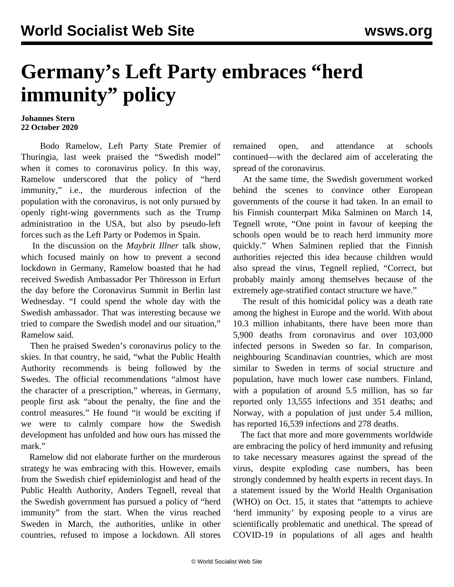## **Germany's Left Party embraces "herd immunity" policy**

## **Johannes Stern 22 October 2020**

 Bodo Ramelow, Left Party State Premier of Thuringia, last week praised the "Swedish model" when it comes to coronavirus policy. In this way, Ramelow underscored that the policy of "herd immunity," i.e., the murderous infection of the population with the coronavirus, is not only pursued by openly right-wing governments such as the Trump administration in the USA, but also by pseudo-left forces such as the Left Party or Podemos in Spain.

 In the discussion on the *Maybrit Illner* talk show, which focused mainly on how to prevent a second lockdown in Germany, Ramelow boasted that he had received Swedish Ambassador Per Thöresson in Erfurt the day before the Coronavirus Summit in Berlin last Wednesday. "I could spend the whole day with the Swedish ambassador. That was interesting because we tried to compare the Swedish model and our situation," Ramelow said.

 Then he praised Sweden's coronavirus policy to the skies. In that country, he said, "what the Public Health Authority recommends is being followed by the Swedes. The official recommendations "almost have the character of a prescription," whereas, in Germany, people first ask "about the penalty, the fine and the control measures." He found "it would be exciting if we were to calmly compare how the Swedish development has unfolded and how ours has missed the mark."

 Ramelow did not elaborate further on the murderous strategy he was embracing with this. However, emails from the Swedish chief epidemiologist and head of the Public Health Authority, Anders Tegnell, reveal that the Swedish government has pursued a policy of "herd immunity" from the start. When the virus reached Sweden in March, the authorities, unlike in other countries, refused to impose a lockdown. All stores

remained open, and attendance at schools continued—with the declared aim of accelerating the spread of the coronavirus.

 At the same time, the Swedish government worked behind the scenes to convince other European governments of the course it had taken. In an email to his Finnish counterpart Mika Salminen on March 14, Tegnell wrote, "One point in favour of keeping the schools open would be to reach herd immunity more quickly." When Salminen replied that the Finnish authorities rejected this idea because children would also spread the virus, Tegnell replied, "Correct, but probably mainly among themselves because of the extremely age-stratified contact structure we have."

 The result of this homicidal policy was a death rate among the highest in Europe and the world. With about 10.3 million inhabitants, there have been more than 5,900 deaths from coronavirus and over 103,000 infected persons in Sweden so far. In comparison, neighbouring Scandinavian countries, which are most similar to Sweden in terms of social structure and population, have much lower case numbers. Finland, with a population of around 5.5 million, has so far reported only 13,555 infections and 351 deaths; and Norway, with a population of just under 5.4 million, has reported 16,539 infections and 278 deaths.

 The fact that more and more governments worldwide are embracing the policy of herd immunity and refusing to take necessary measures against the spread of the virus, despite exploding case numbers, has been strongly condemned by health experts in recent days. In a statement issued by the World Health Organisation (WHO) on Oct. 15, it states that "attempts to achieve 'herd immunity' by exposing people to a virus are scientifically problematic and unethical. The spread of COVID-19 in populations of all ages and health